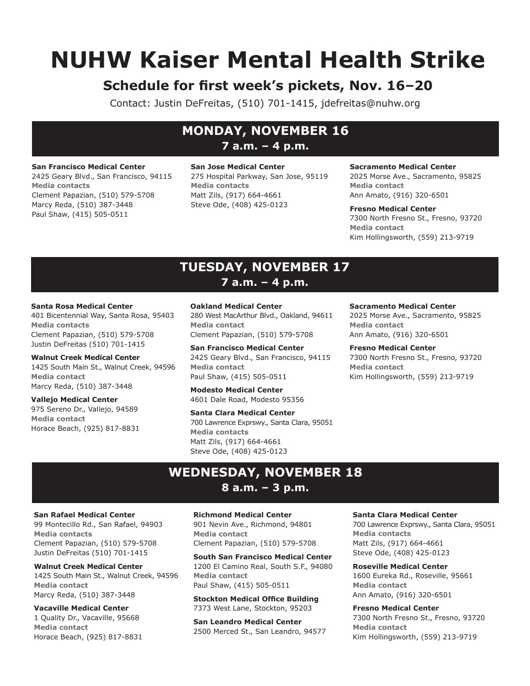# **NUHW Kaiser Mental Health Strike**

# **Schedule for first week's pickets, Nov. 16–20**

Contact: Justin DeFreitas, (510) 701-1415, jdefreitas@nuhw.org

# **MONDAY, NOVEMBER 16 7 a.m. – 4 p.m.**

#### **San Francisco Medical Center**

2425 Geary Blvd., San Francisco, 94115 **Media contacts** Clement Papazian, (510) 579-5708 Marcy Reda, (510) 387-3448 Paul Shaw, (415) 505-0511

## **San Jose Medical Center** 275 Hospital Parkway, San Jose, 95119 **Media contacts** Matt Zils, (917) 664-4661 Steve Ode, (408) 425-0123

# **Sacramento Medical Center**

2025 Morse Ave., Sacramento, 95825 **Media contact** Ann Amato, (916) 320-6501

**Fresno Medical Center** 7300 North Fresno St., Fresno, 93720 **Media contact** Kim Hollingsworth, (559) 213-9719

# **TUESDAY, NOVEMBER 17 7 a.m. – 4 p.m.**

## **Santa Rosa Medical Center**

401 Bicentennial Way, Santa Rosa, 95403 **Media contacts** Clement Papazian, (510) 579-5708 Justin DeFreitas (510) 701-1415

**Walnut Creek Medical Center** 1425 South Main St., Walnut Creek, 94596 **Media contact** Marcy Reda, (510) 387-3448

#### **Vallejo Medical Center** 975 Sereno Dr., Vallejo, 94589 **Media contact** Horace Beach, (925) 817-8831

**Oakland Medical Center**

280 West MacArthur Blvd., Oakland, 94611 **Media contact** Clement Papazian, (510) 579-5708

**San Francisco Medical Center** 2425 Geary Blvd., San Francisco, 94115 **Media contact** Paul Shaw, (415) 505-0511

**Modesto Medical Center** 4601 Dale Road, Modesto 95356

**Santa Clara Medical Center** 700 Lawrence Exprswy., Santa Clara, 95051 **Media contacts** Matt Zils, (917) 664-4661 Steve Ode, (408) 425-0123

# **Sacramento Medical Center**

2025 Morse Ave., Sacramento, 95825 **Media contact** Ann Amato, (916) 320-6501

**Fresno Medical Center** 7300 North Fresno St., Fresno, 93720 **Media contact** Kim Hollingsworth, (559) 213-9719

# **WEDNESDAY, NOVEMBER 18 8 a.m. – 3 p.m.**

# **San Rafael Medical Center**

99 Montecillo Rd., San Rafael, 94903 **Media contacts** Clement Papazian, (510) 579-5708 Justin DeFreitas (510) 701-1415

**Walnut Creek Medical Center** 1425 South Main St., Walnut Creek, 94596 **Media contact** Marcy Reda, (510) 387-3448

**Vacaville Medical Center** 1 Quality Dr., Vacaville, 95668 **Media contact** Horace Beach, (925) 817-8831

# **Richmond Medical Center**

901 Nevin Ave., Richmond, 94801 **Media contact** Clement Papazian, (510) 579-5708

**South San Francisco Medical Center** 1200 El Camino Real, South S.F., 94080 **Media contact** Paul Shaw, (415) 505-0511

**Stockton Medical Office Building** 7373 West Lane, Stockton, 95203

**San Leandro Medical Center** 2500 Merced St., San Leandro, 94577

# **Santa Clara Medical Center**

700 Lawrence Exprswy., Santa Clara, 95051 **Media contacts** Matt Zils, (917) 664-4661 Steve Ode, (408) 425-0123

**Roseville Medical Center** 1600 Eureka Rd., Roseville, 95661 **Media contact** Ann Amato, (916) 320-6501

## **Fresno Medical Center**

7300 North Fresno St., Fresno, 93720 **Media contact** Kim Hollingsworth, (559) 213-9719